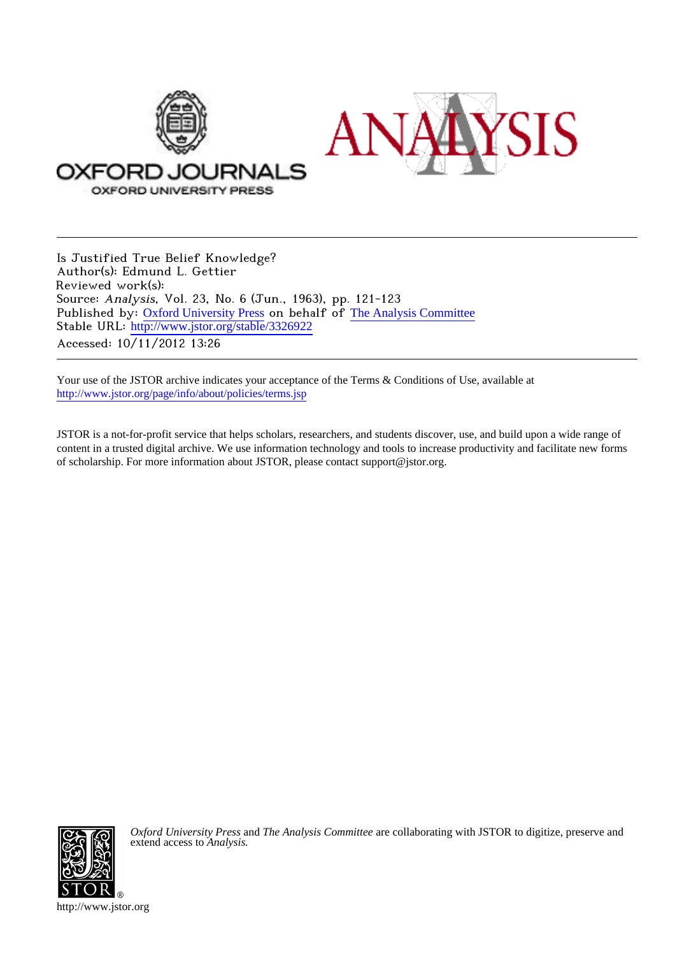

Is Justified True Belief Knowledge? Author(s): Edmund L. Gettier Reviewed work(s): Source: Analysis, Vol. 23, No. 6 (Jun., 1963), pp. 121-123 Published by: [Oxford University Press](http://www.jstor.org/action/showPublisher?publisherCode=oup) on behalf of [The Analysis Committee](http://www.jstor.org/action/showPublisher?publisherCode=anacom) Stable URL: [http://www.jstor.org/stable/3326922](http://www.jstor.org/stable/3326922?origin=JSTOR-pdf) Accessed: 10/11/2012 13:26

Your use of the JSTOR archive indicates your acceptance of the Terms & Conditions of Use, available at <http://www.jstor.org/page/info/about/policies/terms.jsp>

JSTOR is a not-for-profit service that helps scholars, researchers, and students discover, use, and build upon a wide range of content in a trusted digital archive. We use information technology and tools to increase productivity and facilitate new forms of scholarship. For more information about JSTOR, please contact support@jstor.org.



*Oxford University Press* and *The Analysis Committee* are collaborating with JSTOR to digitize, preserve and extend access to *Analysis.*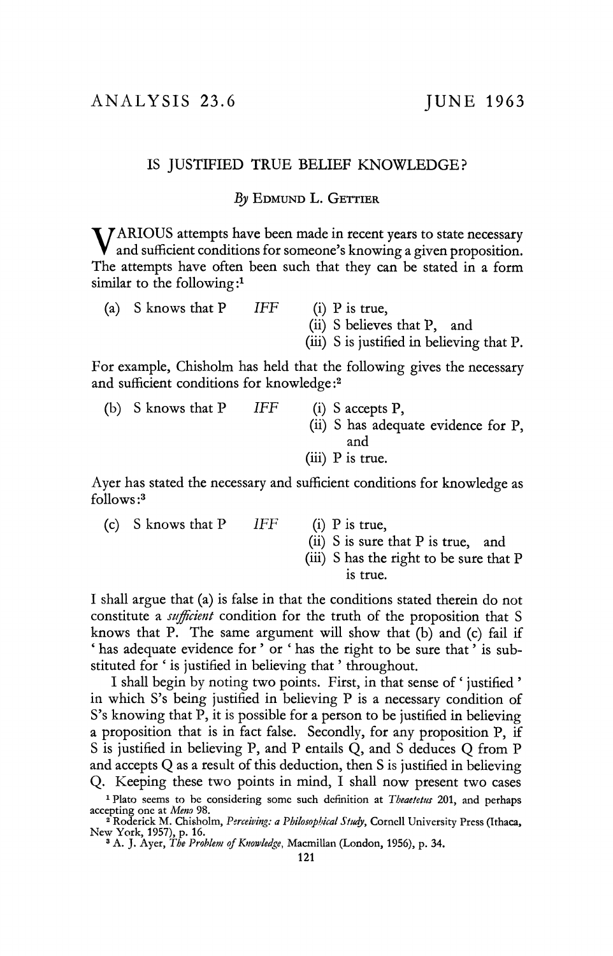#### **IS JUSTIFIED TRUE BELIEF KNOWLEDGE?**

### **By EDMUND L. GETTIER**

**V ARIOUS attempts have been made in recent years to state necessary and sufficient conditions for someone's knowing a given proposition. The attempts have often been such that they can be stated in a form similar to the following:'** 

- **(a) S knows that P IFF (i) P is true,** 
	-
	- **(ii) S believes that P, and**
	- **(iii) S is justified in believing that P.**

**For example, Chisholm has held that the following gives the necessary and sufficient conditions for knowledge:2** 

**(b) S knows that P IFF (i) S accepts P, (ii) S has adequate evidence for P, and (iii) P is true.** 

**Ayer has stated the necessary and sufficient conditions for knowledge as follows :** 

- **(c) S knows that P IFF (i) P is true,** 
	-
	- **(ii) S is sure that P is true, and**
	- **(iii) S has the right to be sure that P is true.**

**I shall argue that (a) is false in that the conditions stated therein do not constitute a siftcient condition for the truth of the proposition that S knows that P. The same argument will show that (b) and (c) fail if**  'has adequate evidence for ' or ' has the right to be sure that ' is sub**stituted for 'is justified in believing that' throughout.** 

**I shall begin by noting two points. First, in that sense of' justified' in which S's being justified in believing P is a necessary condition of S's knowing that P, it is possible for a person to be justified in believing a proposition that is in fact false. Secondly, for any proposition P, if S is justified in believing P, and P entails Q, and S deduces Q from P and accepts Q as a result of this deduction, then S is justified in believing Q. Keeping these two points in mind, I shall now present two cases** 

**<sup>1</sup> Plato seems to be considering some such definition at Theaetetus 201, and perhaps accepting one at Meno 98.** 

**<sup>2</sup>Roderick M. Chisholm, Perceiving: a Philosophical Study, Cornell University Press (Ithaca, New York, 1957), p. 16.** 

**<sup>3</sup> A. J. Ayer, The Problem of Knowledge, Macmillan (London, 1956), p. 34.**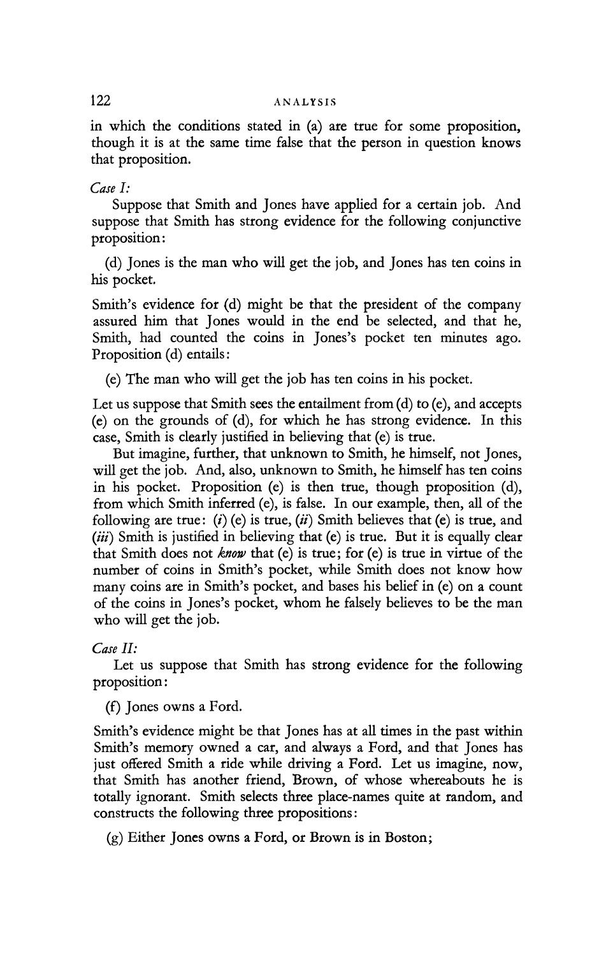# **122 ANALYSIS**

**in which the conditions stated in (a) are true for some proposition, though it is at the same time false that the person in question knows that proposition.** 

## **Case I:**

**Suppose that Smith and Jones have applied for a certain job. And suppose that Smith has strong evidence for the following conjunctive proposition:** 

**(d) Jones is the man who will get the job, and Jones has ten coins in his pocket.** 

**Smith's evidence for (d) might be that the president of the company assured him that Jones would in the end be selected, and that he, Smith, had counted the coins in Jones's pocket ten minutes ago. Proposition (d) entails:** 

**(e) The man who will get the job has ten coins in his pocket.** 

**Let us suppose that Smith sees the entailment from (d) to (e), and accepts (e) on the grounds of (d), for which he has strong evidence. In this case, Smith is clearly justified in believing that (e) is true.** 

**But imagine, further, that unknown to Smith, he himself, not Jones, will get the job. And, also, unknown to Smith, he himself has ten coins in his pocket. Proposition (e) is then true, though proposition (d), from which Smith inferred (e), is false. In our example, then, all of the**  following are true:  $(i)$  (e) is true,  $(ii)$  Smith believes that (e) is true, and **(iii) Smith is justified in believing that (e) is true. But it is equally clear that Smith does not know that (e) is true; for (e) is true in virtue of the number of coins in Smith's pocket, while Smith does not know how many coins are in Smith's pocket, and bases his belief in (e) on a count of the coins in Jones's pocket, whom he falsely believes to be the man who will get the job.** 

## **Case II:**

**Let us suppose that Smith has strong evidence for the following proposition:** 

**(f) Jones owns a Ford.** 

**Smith's evidence might be that Jones has at all times in the past within Smith's memory owned a car, and always a Ford, and that Jones has just offered Smith a ride while driving a Ford. Let us imagine, now, that Smith has another friend, Brown, of whose whereabouts he is totally ignorant. Smith selects three place-names quite at random, and constructs the following three propositions:** 

**(g) Either Jones owns a Ford, or Brown is in Boston;**